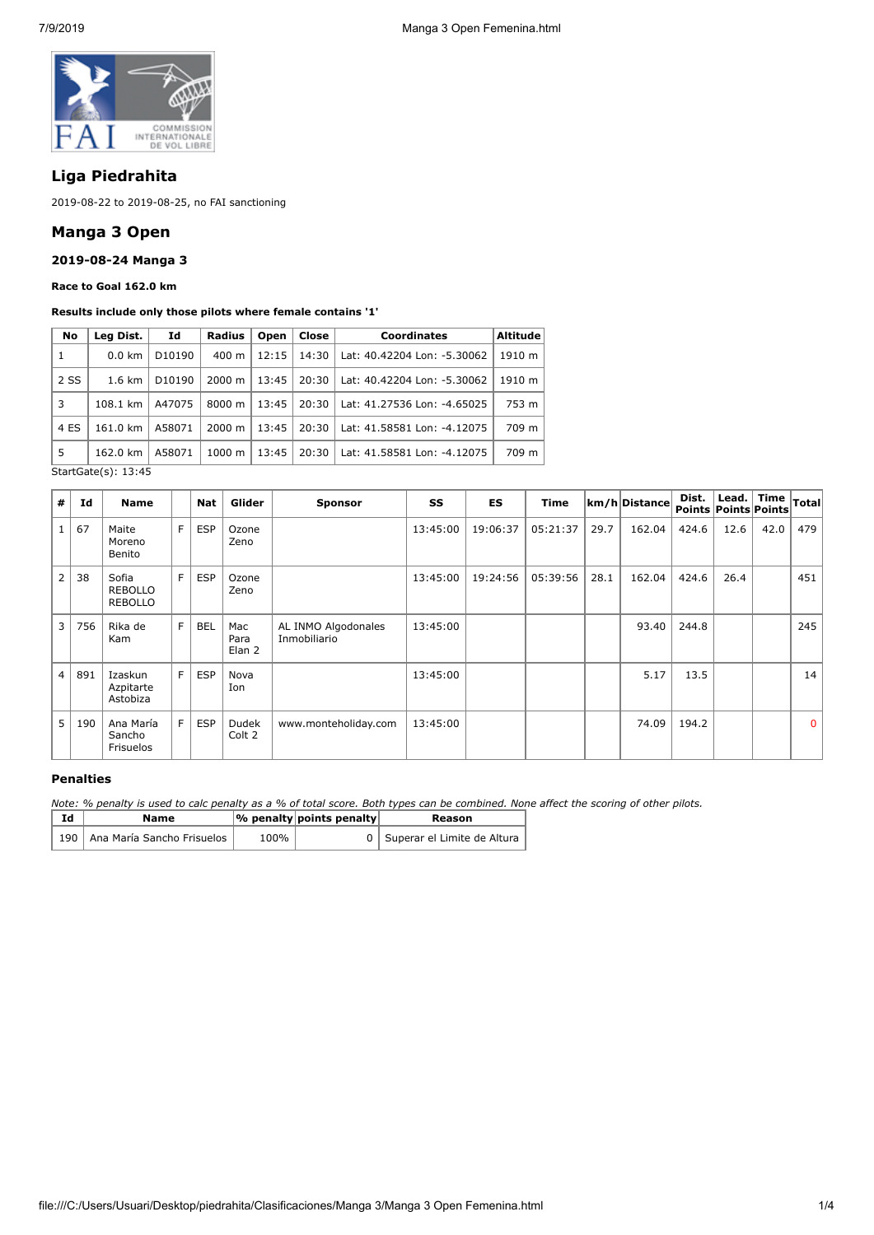

# **Liga Piedrahita**

2019-08-22 to 2019-08-25, no FAI sanctioning

## **Manga 3 Open**

### **2019-08-24 Manga 3**

**Race to Goal 162.0 km**

#### **Results include only those pilots where female contains '1'**

| No   | Leg Dist.        | Id                 | Radius             | Open  | Close <b>l</b> | <b>Coordinates</b>          | <b>Altitude</b> |
|------|------------------|--------------------|--------------------|-------|----------------|-----------------------------|-----------------|
| 1    | $0.0 \text{ km}$ | D <sub>10190</sub> | $400 \text{ m}$    | 12:15 | 14:30          | Lat: 40.42204 Lon: -5.30062 | 1910 m          |
| 2 SS | $1.6 \text{ km}$ | D <sub>10190</sub> | $2000 \; \text{m}$ | 13:45 | 20:30          | Lat: 40.42204 Lon: -5.30062 | 1910 m          |
| 3    | 108.1 km         | A47075             | 8000 m             | 13:45 | 20:30          | Lat: 41.27536 Lon: -4.65025 | 753 m           |
| 4 ES | 161.0 km         | A58071             | 2000 m             | 13:45 | 20:30          | Lat: 41.58581 Lon: -4.12075 | 709 m           |
| 5    | 162.0 km         | A58071             | 1000 m             | 13:45 | 20:30          | Lat: 41.58581 Lon: -4.12075 | 709 m           |

StartGate(s): 13:45

| #              | Id  | <b>Name</b>                        |   | Nat        | Glider                | <b>Sponsor</b>                      | SS       | <b>ES</b> | <b>Time</b> |      | km/h Distance | Dist.<br>Points Points Points | Lead. $ $ Time |      | Total        |
|----------------|-----|------------------------------------|---|------------|-----------------------|-------------------------------------|----------|-----------|-------------|------|---------------|-------------------------------|----------------|------|--------------|
|                | 67  | Maite<br>Moreno<br>Benito          | F | <b>ESP</b> | Ozone<br>Zeno         |                                     | 13:45:00 | 19:06:37  | 05:21:37    | 29.7 | 162.04        | 424.6                         | 12.6           | 42.0 | 479          |
| $\overline{2}$ | 38  | Sofia<br><b>REBOLLO</b><br>REBOLLO | F | <b>ESP</b> | Ozone<br>Zeno         |                                     | 13:45:00 | 19:24:56  | 05:39:56    | 28.1 | 162.04        | 424.6                         | 26.4           |      | 451          |
| 3              | 756 | Rika de<br>Kam                     | F | <b>BEL</b> | Mac<br>Para<br>Elan 2 | AL INMO Algodonales<br>Inmobiliario | 13:45:00 |           |             |      | 93.40         | 244.8                         |                |      | 245          |
| $\overline{4}$ | 891 | Izaskun<br>Azpitarte<br>Astobiza   | F | <b>ESP</b> | Nova<br>Ion           |                                     | 13:45:00 |           |             |      | 5.17          | 13.5                          |                |      | 14           |
| 5              | 190 | Ana María<br>Sancho<br>Frisuelos   | E | <b>ESP</b> | Dudek<br>Colt 2       | www.monteholiday.com                | 13:45:00 |           |             |      | 74.09         | 194.2                         |                |      | $\mathbf{0}$ |

#### **Penalties**

*Note: % penalty is used to calc penalty as a % of total score. Both types can be combined. None affect the scoring of other pilots.*

| Id | Name                             |      | $ \%$ penalty points penalty | Reason                          |
|----|----------------------------------|------|------------------------------|---------------------------------|
|    | 190   Ana María Sancho Frisuelos | 100% |                              | 0   Superar el Limite de Altura |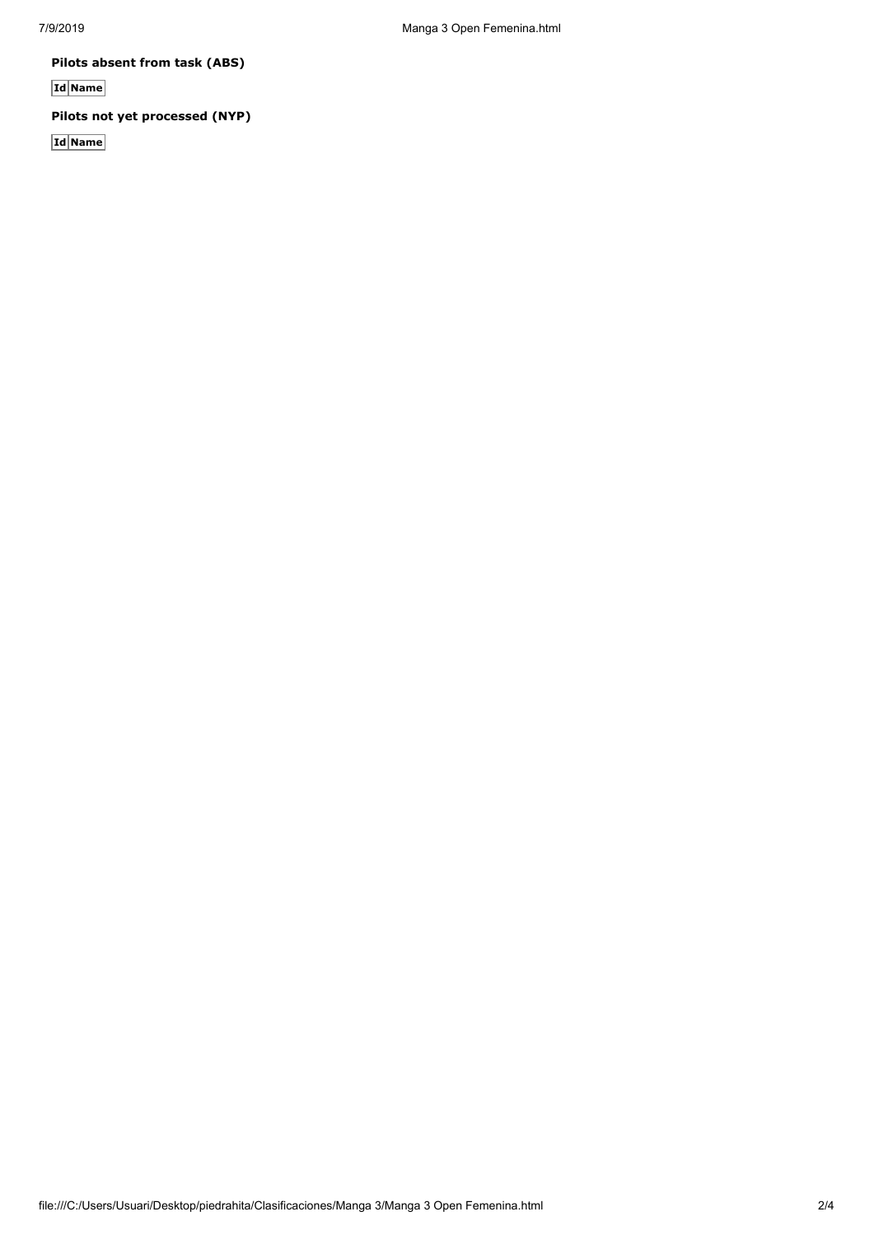**Pilots absent from task (ABS)**

**Id Name**

## **Pilots not yet processed (NYP)**

**Id Name**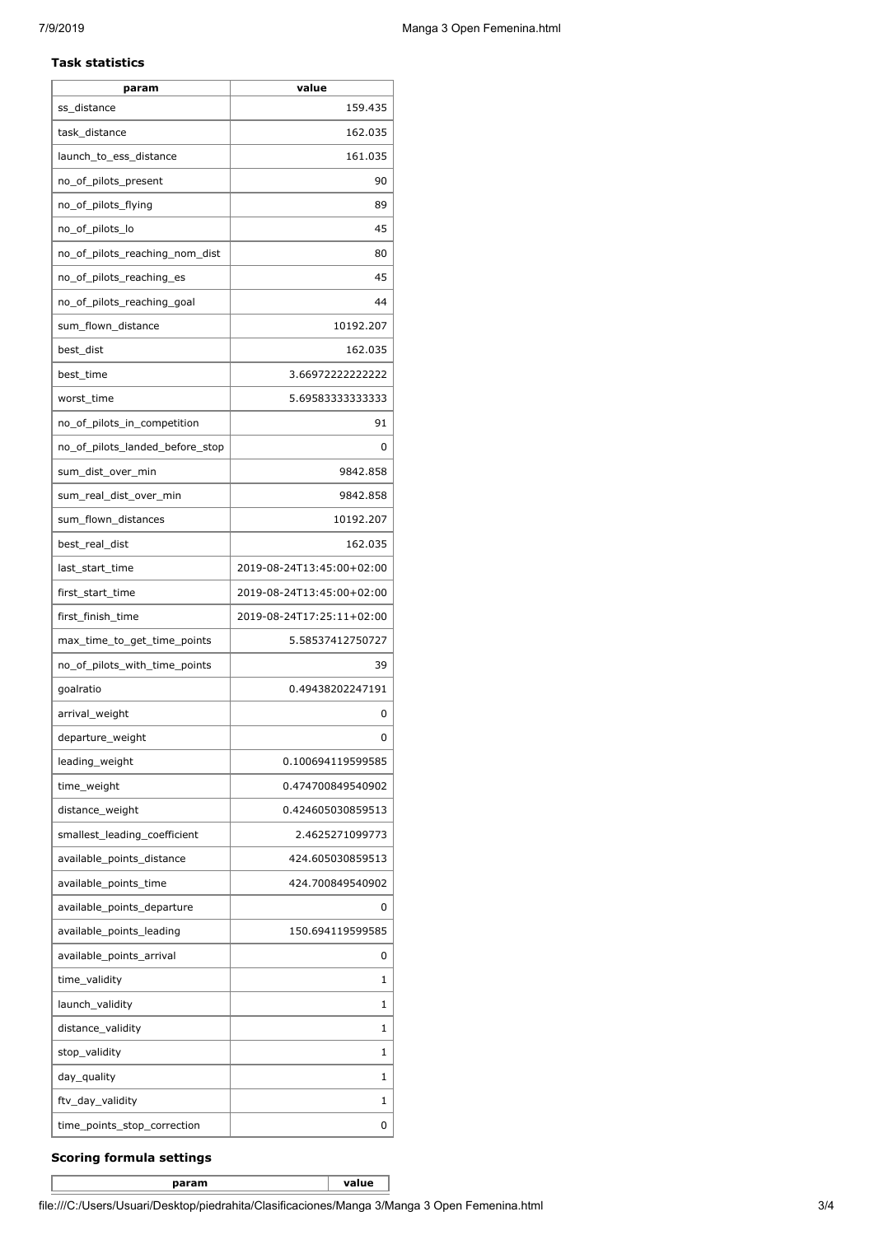#### **Task statistics**

| param                           | value                     |
|---------------------------------|---------------------------|
| ss distance                     | 159.435                   |
| task_distance                   | 162.035                   |
| launch_to_ess_distance          | 161.035                   |
| no_of_pilots_present            | 90                        |
| no_of_pilots_flying             | 89                        |
| no_of_pilots_lo                 | 45                        |
| no_of_pilots_reaching_nom_dist  | 80                        |
| no_of_pilots_reaching_es        | 45                        |
| no_of_pilots_reaching_goal      | 44                        |
| sum_flown_distance              | 10192.207                 |
| best_dist                       | 162.035                   |
| best_time                       | 3.66972222222222          |
| worst_time                      | 5.69583333333333          |
| no_of_pilots_in_competition     | 91                        |
| no_of_pilots_landed_before_stop | 0                         |
| sum_dist_over_min               | 9842.858                  |
| sum_real_dist_over_min          | 9842.858                  |
| sum_flown_distances             | 10192.207                 |
| best_real_dist                  | 162.035                   |
| last_start_time                 | 2019-08-24T13:45:00+02:00 |
| first_start_time                | 2019-08-24T13:45:00+02:00 |
| first_finish_time               | 2019-08-24T17:25:11+02:00 |
| max_time_to_get_time_points     | 5.58537412750727          |
| no_of_pilots_with_time_points   | 39                        |
| goalratio                       | 0.49438202247191          |
| arrival_weight                  | 0                         |
| departure_weight                | 0                         |
| leading_weight                  | 0.100694119599585         |
| time_weight                     | 0.474700849540902         |
| distance weight                 | 0.424605030859513         |
| smallest leading coefficient    | 2.4625271099773           |
| available_points_distance       | 424.605030859513          |
| available_points_time           | 424.700849540902          |
| available_points_departure      | 0                         |
| available_points_leading        | 150.694119599585          |
| available_points_arrival        | 0                         |
| time_validity                   | 1                         |
| launch_validity                 | 1                         |
| distance_validity               | 1                         |
| stop_validity                   | 1                         |
| day_quality                     | 1                         |
| ftv_day_validity                | 1                         |
| time_points_stop_correction     | 0                         |

## **Scoring formula settings**

**param value**